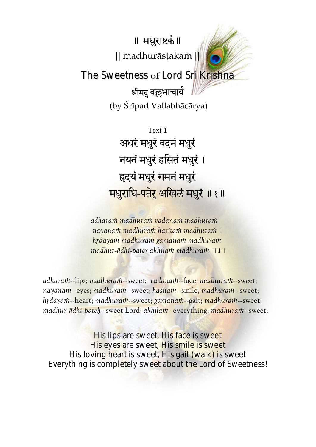॥ मधुराष्टकं॥ || madhurāṣṭakaṁ ||

The Sweetness of Lord Sri Krishna

श्रीमदु वल्लभाचार्य (by Çrīpad Vallabhācārya)

Text 1 अधरं मधुरं वदनं मधुरं नयनं मधुरं हसितं मधुरं । हृदयं मधुरं गमनं मधुरं मधुराधि-पतेर् अखिलं मधुरं ॥१॥

*adharaṁ madhuraṁ vadanaṁ madhuraṁ nayanaṁ madhuraṁ hasitaṁ madhuraṁ | hṛdayaṁ madhuraṁ gamanaṁ madhuraṁ madhur-ādhi-pater akhilaṁ madhuraṁ* || 1 ||

*adharaṁ*--lips; *madhuraṁ*--sweet; *vadanaṁ*--face; *madhuraṁ*--sweet; *nayanaṁ-*-eyes; *madhuraṁ-*-sweet; *hasitaṁ-*-smile, *madhuraṁ--*sweet; *hṛdayaṁ*--heart; *madhuraṁ*--sweet; *gamanaṁ*--gait; *madhuraṁ--*sweet; *madhur-ādhi-pateù*--sweet Lord; *akhilaṁ*--everything; *madhuraṁ*--sweet;

His lips are sweet, His face is sweet His eyes are sweet, His smile is sweet His loving heart is sweet, His gait (walk) is sweet Everything is completely sweet about the Lord of Sweetness!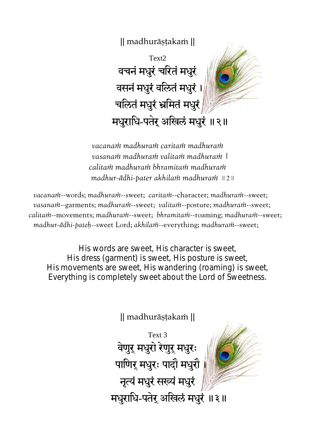

Text2 वचनं मधुरं चरितं मधुरं वसनं मधुरं वलितं मधुरं । चलितं मधुरं भ्रमितं मधुरं मधुराधि-पतेर् अखिलं मधुरं ॥२॥

*vacanaṁ madhuraṁ caritaṁ madhuraṁ vasanaṁ madhuraṁ valitaṁ madhuraṁ | calitaṁ madhuraṁ bhramitaṁ madhuraṁ madhur-ādhi-pater akhilaṁ madhuraṁ* || 2 ||

*vacanaṁ*--words; *madhuraṁ*--sweet; *caritaṁ*--character; *madhuraṁ*--sweet; *vasanaṁ*--garments; *madhuraṁ*--sweet; *valitaṁ*--posture; *madhuraṁ*--sweet; *calitaṁ*--movements; *madhuraṁ*--sweet; *bhramitaṁ*--roaming; *madhuraṁ*--sweet; *madhur-ādhi-pateù*--sweet Lord; *akhilaṁ*--everything; *madhuraṁ*--sweet;

His words are sweet, His character is sweet, His dress (garment) is sweet, His posture is sweet, His movements are sweet, His wandering (roaming) is sweet, Everything is completely sweet about the Lord of Sweetness.

|| madhurāṣṭakaṁ ||

Text 3 वेणुर् मधुरो रेणुर् मधुरः ।<br>। ्<br>।<br>। ्पाणिर् मधुरः पादौ मधुरौ <mark>।</mark> नृत्यं मधुरं सख्यं मधुरं मधुराधि-पतेर् अखिलं मधुरं ॥३॥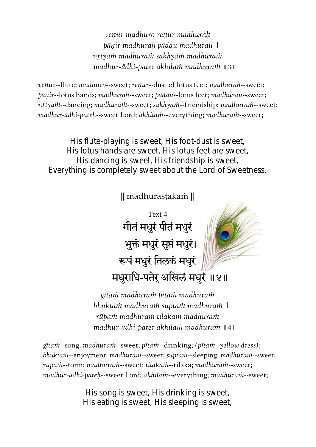*veṇur madhuro reṇur madhuraḥ pāṇir madhuraḥ pādau madhurau | nṛtyaṁ madhuraṁ sakhyaṁ madhuraṁ madhur-ādhi-pater akhilaṁ madhuraṁ* || 3 ||

*veṇur*--flute; *madhuro*--sweet; *reṇur*--dust of lotus feet; *madhuraḥ*--sweet; *pāṇir*--lotus hands; *madhuraḥ*--sweet; *pādau*--lotus feet; *madhurau*--sweet; *nṛtyaṁ*--dancing; *madhuraṁ*--sweet; *sakhyaṁ*--friendship; *madhuraṁ*--sweet; *madhur-ādhi-pateù*--sweet Lord; *akhilaṁ*--everything; *madhuraṁ*--sweet;

His flute-playing is sweet, His foot-dust is sweet, His lotus hands are sweet, His lotus feet are sweet, His dancing is sweet, His friendship is sweet, Everything is completely sweet about the Lord of Sweetness.

|| madhurāṣṭakaṁ ||

Text 4 गीतं मधुरं पीतं मधुरं भुक्तं मधुरं सुप्तं मधुरं। रूपं मधुरं तिलकं मधुरं मधुराधि-पतेर् अखिलं मधुरं ॥४॥

*gītaṁ madhuraṁ pītaṁ madhuraṁ bhuktaṁ madhuraṁ suptaṁ madhuraṁ | rūpaṁ madhuraṁ tilakaṁ madhuraṁ madhur-ādhi-pater akhilaṁ madhuraṁ* || 4 ||

*gītaṁ*--song; *madhuraṁ*--sweet; *pītaṁ*--drinking; *(pītaṁ*--*yellow dress)*; *bhuktaṁ*--enjoyment; *madhuraṁ*--sweet; *suptaṁ*--sleeping; *madhuraṁ*--sweet; *rūpaṁ*--form; *madhuraṁ*--sweet; *tilakaṁ*--tilaka; *madhuraṁ*--sweet; *madhur-ādhi-pateù*--sweet Lord; *akhilaṁ*--everything; *madhuraṁ*--sweet;

> His song is sweet, His drinking is sweet, His eating is sweet, His sleeping is sweet,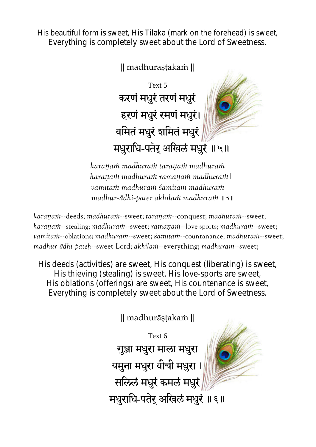His beautiful form is sweet, His Tilaka (mark on the forehead) is sweet, Everything is completely sweet about the Lord of Sweetness.

|| madhurāṣṭakaṁ ||

Text 5 करणं मधुरं तरणं मधुरं हरणं मधुरं रमणं मधुरं। वमितं मधुरं शमितं मधुरं मधुराधि-पतेर् अखिलं मधुरं ॥५॥

*karaṇaṁ madhuraṁ taraṇaṁ madhuraṁ haraṇaṁ madhuraṁ ramaṇaṁ madhuraṁ| vamitaṁ madhuraṁ śamitaṁ madhuraṁ madhur-ādhi-pater akhilaṁ madhuraṁ* || 5 ||

*karaṇaṁ*--deeds; *madhuraṁ*--sweet; *taraṇaṁ*--conquest; *madhuraṁ*--sweet; *haraṇaṁ*--stealing; *madhuraṁ*--sweet; *ramaṇaṁ*--love sports; *madhuraṁ*--sweet; *vamitaṁ*--oblations; *madhuraṁ*--sweet; *śamitaṁ*--countanance; *madhuraṁ*--sweet; *madhur-ādhi-pateù*--sweet Lord; *akhilaṁ*--everything; *madhuraṁ*--sweet;

His deeds (activities) are sweet, His conquest (liberating) is sweet, His thieving (stealing) is sweet, His love-sports are sweet, His oblations (offerings) are sweet, His countenance is sweet, Everything is completely sweet about the Lord of Sweetness.

|| madhurāṣṭakaṁ ||

Text 6 गुञ्जा मधुरा माला मधुरा यमुना मधुरा वीची मधुरा सलिलं मधुरं कमलं मधुरं मधुराधि-पतेर् अखिलं मधुरं ॥ ६ ॥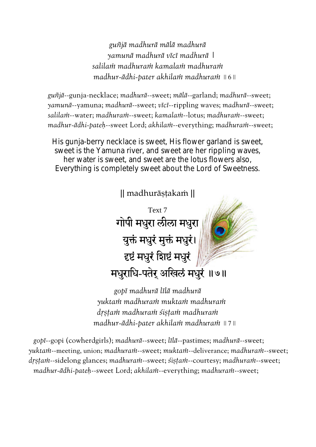*guñjā madhurā mālā madhurā yamunā madhurā vīcī madhurā | salilaṁ madhuraṁ kamalaṁ madhuraṁ madhur-ādhi-pater akhilaṁ madhuraṁ* || 6 ||

*guñjā*--gunja-necklace; *madhurā*--sweet; *mālā*--garland; *madhurā*--sweet; *yamunā*--yamuna; *madhurā*--sweet; *vīcī*--rippling waves; *madhurā*--sweet; *salilaṁ*--water; *madhuraṁ*--sweet; *kamalaṁ*--lotus; *madhuraṁ*--sweet; *madhur-ādhi-pateù*--sweet Lord; *akhilaṁ*--everything; *madhuraṁ*--sweet;

His gunja-berry necklace is sweet, His flower garland is sweet, sweet is the Yamuna river, and sweet are her rippling waves, her water is sweet, and sweet are the lotus flowers also, Everything is completely sweet about the Lord of Sweetness.



*gopī madhurā līlā madhurā yuktaṁ madhuraṁ muktaṁ madhuraṁ dṛṣṭaṁ madhuraṁ śiṣṭaṁ madhuraṁ madhur-ādhi-pater akhilaṁ madhuraṁ* || 7 ||

*gopī*--gopi (cowherdgirls); *madhurā*--sweet; *līlā*--pastimes; *madhurā*--sweet; *yuktaṁ*--meeting, union; *madhuraṁ*--sweet; *muktaṁ*--deliverance; *madhuraṁ*--sweet; *dṛṣṭaṁ*--sidelong glances; *madhuraṁ*--sweet; *śiṣṭaṁ*--courtesy; *madhuraṁ*--sweet; *madhur-ādhi-pateù*--sweet Lord; *akhilaṁ*--everything; *madhuraṁ*--sweet;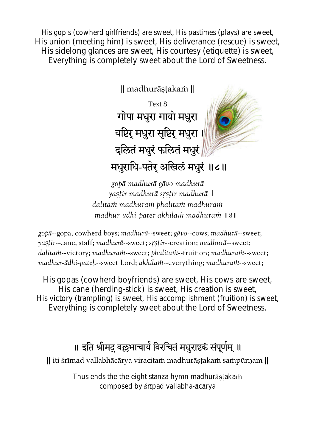His gopis (cowherd girlfriends) are sweet, His pastimes (plays) are sweet, His union (meeting him) is sweet, His deliverance (rescue) is sweet, His sidelong glances are sweet, His courtesy (etiquette) is sweet, Everything is completely sweet about the Lord of Sweetness.

|| madhurāṣṭakaṁ || Text 8 गोपा मधुरा गावो मधुरा यष्टिर् मधुरा सृष्टिर् मधुरा । दलितं मधुरं फलितं मधुरं $\vert$ मधुराधि-पतेर् अखिलं मधुरं ॥८॥

*gopā madhurā gāvo madhurā yaṣṭir madhurā sṛṣṭir madhurā | dalitaṁ madhuraṁ phalitaṁ madhuraṁ madhur-ādhi-pater akhilaṁ madhuraṁ* || 8 ||

*gopā*--gopa, cowherd boys; *madhurā*--sweet; *gāvo*--cows; *madhurā*--sweet; *yaṣṭir*--cane, staff; *madhurā*--sweet; *sṛṣṭir*--creation; *madhurā*--sweet; *dalitaṁ*--victory; *madhuraṁ*--sweet; *phalitaṁ*--fruition; *madhuraṁ*--sweet; *madhur-ādhi-pateù*--sweet Lord; *akhilaṁ*--everything; *madhuraṁ*--sweet;

His gopas (cowherd boyfriends) are sweet, His cows are sweet, His cane (herding-stick) is sweet, His creation is sweet, His victory (trampling) is sweet, His accomplishment (fruition) is sweet, Everything is completely sweet about the Lord of Sweetness.

## ॥ इति श्रीमद् वल्लभाचाये विरचितं मधुराष्टकं संपूर्णम् ॥

**||** iti śrīmad vallabhācārya viracitaṁ madhurāṣṭakaṁ saṁpūrṇam **||** 

Thus ends the the eight stanza hymn madhurāstakam composed by śrīpad vallabha-ācārya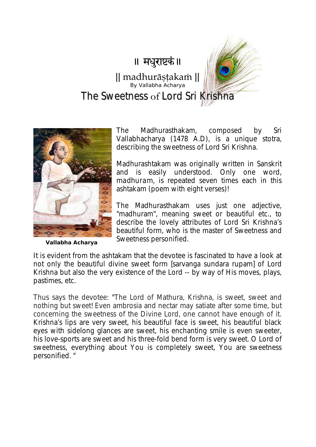## ॥ मधुराष्टकं॥

## || madhurāṣṭakaṁ || T The Sweetness of Lord Sri Krishna By Vallabha Acharya



**Vallabha Acharya** 

The Madhurasthakam, composed by Sri Vallabhacharya (1478 A.D), is a unique stotra, describing the sweetness of Lord Sri Krishna.

Madhurashtakam was originally written in Sanskrit and is easily understood. Only one word, *madhuram*, is repeated seven times each in this ashtakam (poem with eight verses)!

The Madhurasthakam uses just one adjective, "madhuram", meaning sweet or beautiful etc., to describe the lovely attributes of Lord Sri Krishna's beautiful form, who is the master of Sweetness and Sweetness personified.

It is evident from the ashtakam that the devotee is fascinated to have a look at not only the beautiful divine sweet form [sarvanga sundara rupam] of Lord Krishna but also the very existence of the Lord -- by way of His moves, plays, pastimes, etc.

Thus says the devotee: "The Lord of Mathura, Krishna, is sweet, sweet and nothing but sweet! Even ambrosia and nectar may satiate after some time, but concerning the sweetness of the Divine Lord, one cannot have enough of it. Krishna's lips are very sweet, his beautiful face is sweet, his beautiful black eyes with sidelong glances are sweet, his enchanting smile is even sweeter, his love-sports are sweet and his three-fold bend form is very sweet. O Lord of sweetness, everything about You is completely sweet, You are sweetness personified. "